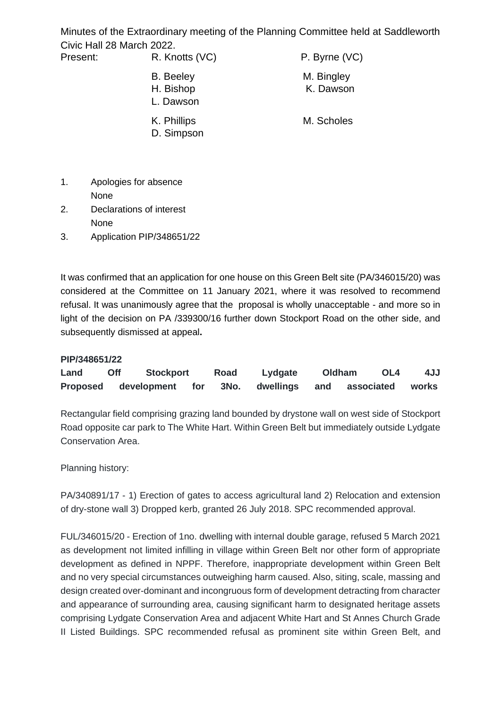Minutes of the Extraordinary meeting of the Planning Committee held at Saddleworth Civic Hall 28 March 2022.

| Present: | R. Knotts (VC)                             | P. Byrne (VC)           |  |  |
|----------|--------------------------------------------|-------------------------|--|--|
|          | <b>B.</b> Beeley<br>H. Bishop<br>L. Dawson | M. Bingley<br>K. Dawson |  |  |
|          | K. Phillips<br>D. Simpson                  | M. Scholes              |  |  |

- 1. Apologies for absence None
- 2. Declarations of interest None
- 3. Application PIP/348651/22

It was confirmed that an application for one house on this Green Belt site (PA/346015/20) was considered at the Committee on 11 January 2021, where it was resolved to recommend refusal. It was unanimously agree that the proposal is wholly unacceptable - and more so in light of the decision on PA /339300/16 further down Stockport Road on the other side, and subsequently dismissed at appeal**.**

## **PIP/348651/22**

| Land            | Off | <b>Stockport</b> |     | Road | Lydgate   | Oldham | OL4            | 4JJ   |
|-----------------|-----|------------------|-----|------|-----------|--------|----------------|-------|
| <b>Proposed</b> |     | development      | for | 3No. | dwellings |        | and associated | works |

Rectangular field comprising grazing land bounded by drystone wall on west side of Stockport Road opposite car park to The White Hart. Within Green Belt but immediately outside Lydgate Conservation Area.

Planning history:

PA/340891/17 - 1) Erection of gates to access agricultural land 2) Relocation and extension of dry-stone wall 3) Dropped kerb, granted 26 July 2018. SPC recommended approval.

FUL/346015/20 - Erection of 1no. dwelling with internal double garage, refused 5 March 2021 as development not limited infilling in village within Green Belt nor other form of appropriate development as defined in NPPF. Therefore, inappropriate development within Green Belt and no very special circumstances outweighing harm caused. Also, siting, scale, massing and design created over-dominant and incongruous form of development detracting from character and appearance of surrounding area, causing significant harm to designated heritage assets comprising Lydgate Conservation Area and adjacent White Hart and St Annes Church Grade II Listed Buildings. SPC recommended refusal as prominent site within Green Belt, and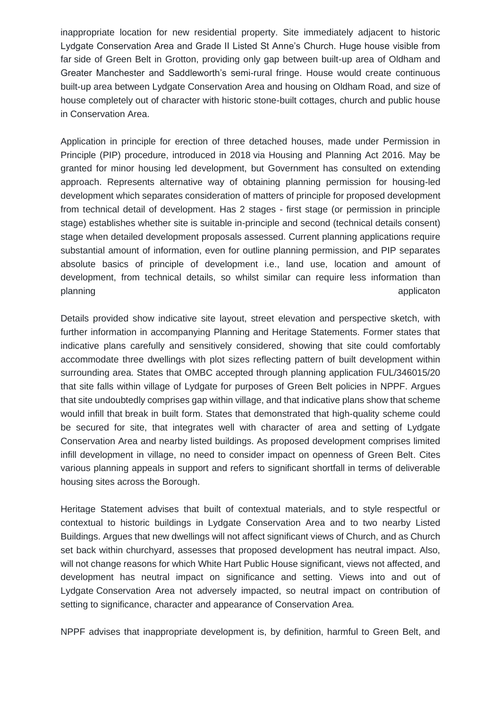inappropriate location for new residential property. Site immediately adjacent to historic Lydgate Conservation Area and Grade II Listed St Anne's Church. Huge house visible from far side of Green Belt in Grotton, providing only gap between built-up area of Oldham and Greater Manchester and Saddleworth's semi-rural fringe. House would create continuous built-up area between Lydgate Conservation Area and housing on Oldham Road, and size of house completely out of character with historic stone-built cottages, church and public house in Conservation Area.

Application in principle for erection of three detached houses, made under Permission in Principle (PIP) procedure, introduced in 2018 via Housing and Planning Act 2016. May be granted for minor housing led development, but Government has consulted on extending approach. Represents alternative way of obtaining planning permission for housing-led development which separates consideration of matters of principle for proposed development from technical detail of development. Has 2 stages - first stage (or permission in principle stage) establishes whether site is suitable in-principle and second (technical details consent) stage when detailed development proposals assessed. Current planning applications require substantial amount of information, even for outline planning permission, and PIP separates absolute basics of principle of development i.e., land use, location and amount of development, from technical details, so whilst similar can require less information than planning applicaton and the set of the set of the set of the set of the set of the set of the set of the set o

Details provided show indicative site layout, street elevation and perspective sketch, with further information in accompanying Planning and Heritage Statements. Former states that indicative plans carefully and sensitively considered, showing that site could comfortably accommodate three dwellings with plot sizes reflecting pattern of built development within surrounding area. States that OMBC accepted through planning application FUL/346015/20 that site falls within village of Lydgate for purposes of Green Belt policies in NPPF. Argues that site undoubtedly comprises gap within village, and that indicative plans show that scheme would infill that break in built form. States that demonstrated that high-quality scheme could be secured for site, that integrates well with character of area and setting of Lydgate Conservation Area and nearby listed buildings. As proposed development comprises limited infill development in village, no need to consider impact on openness of Green Belt. Cites various planning appeals in support and refers to significant shortfall in terms of deliverable housing sites across the Borough.

Heritage Statement advises that built of contextual materials, and to style respectful or contextual to historic buildings in Lydgate Conservation Area and to two nearby Listed Buildings. Argues that new dwellings will not affect significant views of Church, and as Church set back within churchyard, assesses that proposed development has neutral impact. Also, will not change reasons for which White Hart Public House significant, views not affected, and development has neutral impact on significance and setting. Views into and out of Lydgate Conservation Area not adversely impacted, so neutral impact on contribution of setting to significance, character and appearance of Conservation Area.

NPPF advises that inappropriate development is, by definition, harmful to Green Belt, and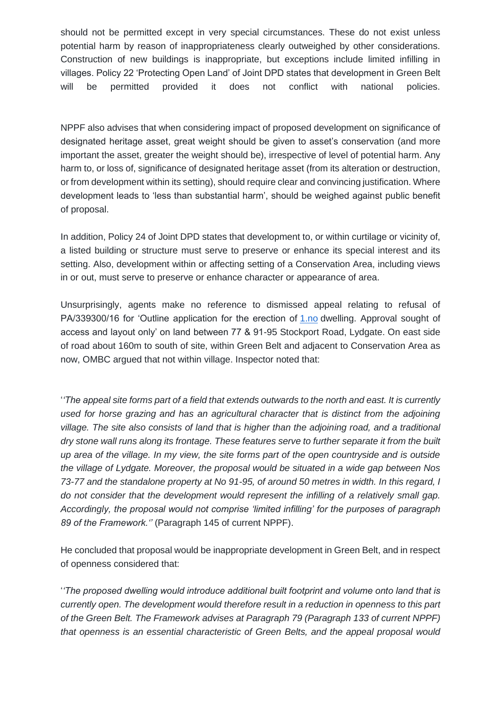should not be permitted except in very special circumstances. These do not exist unless potential harm by reason of inappropriateness clearly outweighed by other considerations. Construction of new buildings is inappropriate, but exceptions include limited infilling in villages. Policy 22 'Protecting Open Land' of Joint DPD states that development in Green Belt will be permitted provided it does not conflict with national policies.

NPPF also advises that when considering impact of proposed development on significance of designated heritage asset, great weight should be given to asset's conservation (and more important the asset, greater the weight should be), irrespective of level of potential harm. Any harm to, or loss of, significance of designated heritage asset (from its alteration or destruction, or from development within its setting), should require clear and convincing justification. Where development leads to 'less than substantial harm', should be weighed against public benefit of proposal.

In addition, Policy 24 of Joint DPD states that development to, or within curtilage or vicinity of, a listed building or structure must serve to preserve or enhance its special interest and its setting. Also, development within or affecting setting of a Conservation Area, including views in or out, must serve to preserve or enhance character or appearance of area.

Unsurprisingly, agents make no reference to dismissed appeal relating to refusal of PA/339300/16 for 'Outline application for the erection of [1.no](http://1.no/%20/t%20_blank) dwelling. Approval sought of access and layout only' on land between 77 & 91-95 Stockport Road, Lydgate. On east side of road about 160m to south of site, within Green Belt and adjacent to Conservation Area as now, OMBC argued that not within village. Inspector noted that:

'*'The appeal site forms part of a field that extends outwards to the north and east. It is currently used for horse grazing and has an agricultural character that is distinct from the adjoining village. The site also consists of land that is higher than the adjoining road, and a traditional dry stone wall runs along its frontage. These features serve to further separate it from the built up area of the village. In my view, the site forms part of the open countryside and is outside the village of Lydgate. Moreover, the proposal would be situated in a wide gap between Nos 73-77 and the standalone property at No 91-95, of around 50 metres in width. In this regard, I do not consider that the development would represent the infilling of a relatively small gap. Accordingly, the proposal would not comprise 'limited infilling' for the purposes of paragraph 89 of the Framework.''* (Paragraph 145 of current NPPF).

He concluded that proposal would be inappropriate development in Green Belt, and in respect of openness considered that:

'*'The proposed dwelling would introduce additional built footprint and volume onto land that is currently open. The development would therefore result in a reduction in openness to this part of the Green Belt. The Framework advises at Paragraph 79 (Paragraph 133 of current NPPF) that openness is an essential characteristic of Green Belts, and the appeal proposal would*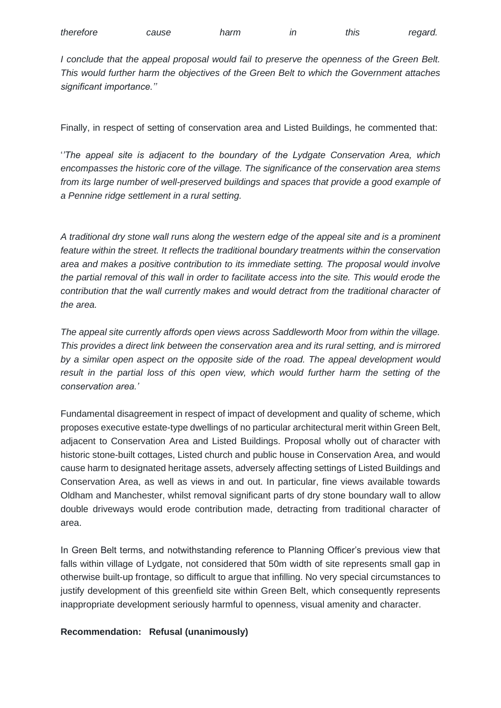| therefore | cause | harm | this | regard. |
|-----------|-------|------|------|---------|
|           |       |      |      |         |

*I conclude that the appeal proposal would fail to preserve the openness of the Green Belt. This would further harm the objectives of the Green Belt to which the Government attaches significant importance.''*

Finally, in respect of setting of conservation area and Listed Buildings, he commented that:

'*'The appeal site is adjacent to the boundary of the Lydgate Conservation Area, which encompasses the historic core of the village. The significance of the conservation area stems from its large number of well-preserved buildings and spaces that provide a good example of a Pennine ridge settlement in a rural setting.*

*A traditional dry stone wall runs along the western edge of the appeal site and is a prominent feature within the street. It reflects the traditional boundary treatments within the conservation area and makes a positive contribution to its immediate setting. The proposal would involve the partial removal of this wall in order to facilitate access into the site. This would erode the contribution that the wall currently makes and would detract from the traditional character of the area.*

*The appeal site currently affords open views across Saddleworth Moor from within the village. This provides a direct link between the conservation area and its rural setting, and is mirrored by a similar open aspect on the opposite side of the road. The appeal development would*  result in the partial loss of this open view, which would further harm the setting of the *conservation area.'*

Fundamental disagreement in respect of impact of development and quality of scheme, which proposes executive estate-type dwellings of no particular architectural merit within Green Belt, adjacent to Conservation Area and Listed Buildings. Proposal wholly out of character with historic stone-built cottages, Listed church and public house in Conservation Area, and would cause harm to designated heritage assets, adversely affecting settings of Listed Buildings and Conservation Area, as well as views in and out. In particular, fine views available towards Oldham and Manchester, whilst removal significant parts of dry stone boundary wall to allow double driveways would erode contribution made, detracting from traditional character of area.

In Green Belt terms, and notwithstanding reference to Planning Officer's previous view that falls within village of Lydgate, not considered that 50m width of site represents small gap in otherwise built-up frontage, so difficult to argue that infilling. No very special circumstances to justify development of this greenfield site within Green Belt, which consequently represents inappropriate development seriously harmful to openness, visual amenity and character.

## **Recommendation: Refusal (unanimously)**